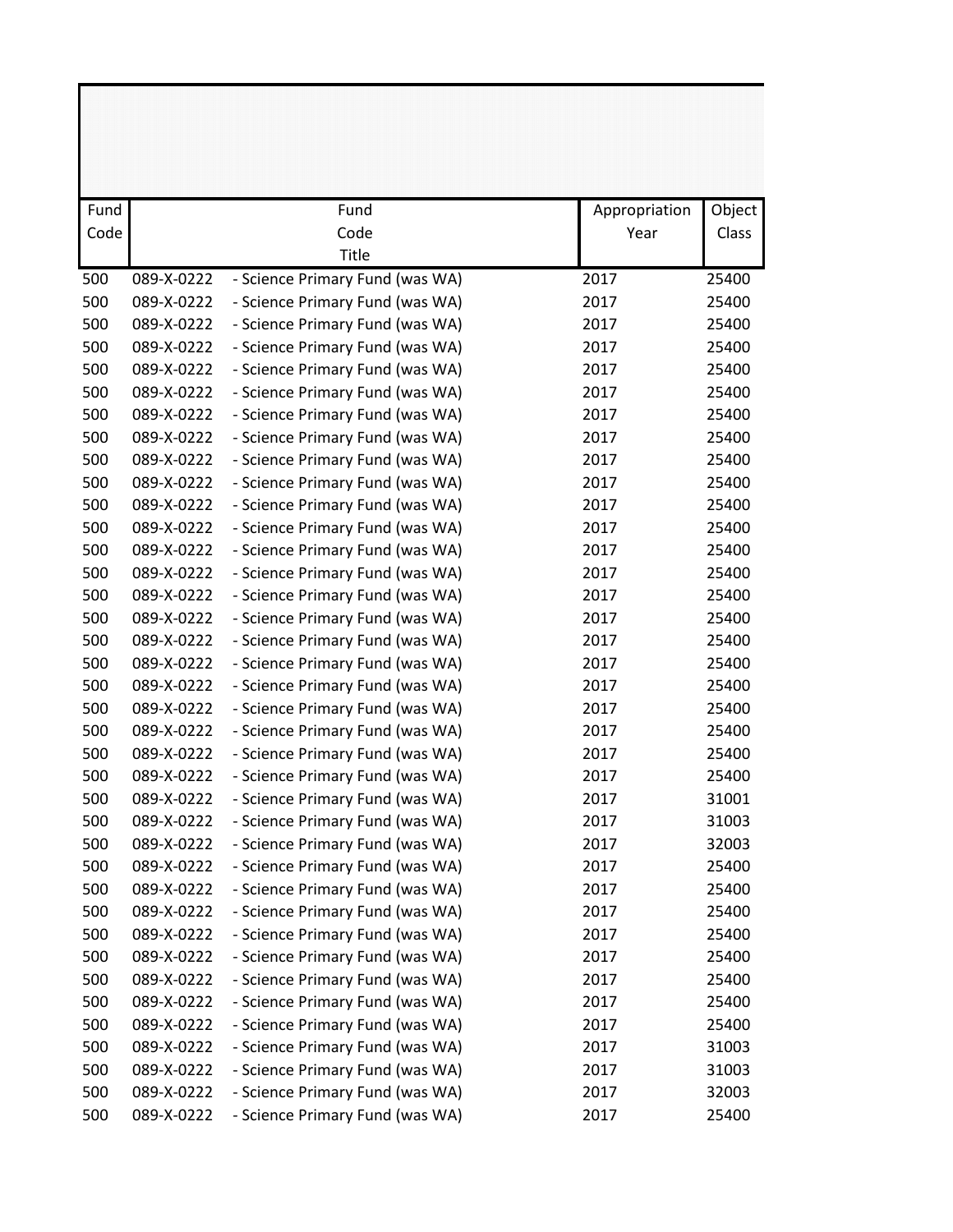| Fund |            | Fund                            | Appropriation | Object |
|------|------------|---------------------------------|---------------|--------|
| Code |            | Code                            | Year          | Class  |
|      |            | <b>Title</b>                    |               |        |
| 500  | 089-X-0222 | - Science Primary Fund (was WA) | 2017          | 25400  |
| 500  | 089-X-0222 | - Science Primary Fund (was WA) | 2017          | 25400  |
| 500  | 089-X-0222 | - Science Primary Fund (was WA) | 2017          | 25400  |
| 500  | 089-X-0222 | - Science Primary Fund (was WA) | 2017          | 25400  |
| 500  | 089-X-0222 | - Science Primary Fund (was WA) | 2017          | 25400  |
| 500  | 089-X-0222 | - Science Primary Fund (was WA) | 2017          | 25400  |
| 500  | 089-X-0222 | - Science Primary Fund (was WA) | 2017          | 25400  |
| 500  | 089-X-0222 | - Science Primary Fund (was WA) | 2017          | 25400  |
| 500  | 089-X-0222 | - Science Primary Fund (was WA) | 2017          | 25400  |
| 500  | 089-X-0222 | - Science Primary Fund (was WA) | 2017          | 25400  |
| 500  | 089-X-0222 | - Science Primary Fund (was WA) | 2017          | 25400  |
| 500  | 089-X-0222 | - Science Primary Fund (was WA) | 2017          | 25400  |
| 500  | 089-X-0222 | - Science Primary Fund (was WA) | 2017          | 25400  |
| 500  | 089-X-0222 | - Science Primary Fund (was WA) | 2017          | 25400  |
| 500  | 089-X-0222 | - Science Primary Fund (was WA) | 2017          | 25400  |
| 500  | 089-X-0222 | - Science Primary Fund (was WA) | 2017          | 25400  |
| 500  | 089-X-0222 | - Science Primary Fund (was WA) | 2017          | 25400  |
| 500  | 089-X-0222 | - Science Primary Fund (was WA) | 2017          | 25400  |
| 500  | 089-X-0222 | - Science Primary Fund (was WA) | 2017          | 25400  |
| 500  | 089-X-0222 | - Science Primary Fund (was WA) | 2017          | 25400  |
| 500  | 089-X-0222 | - Science Primary Fund (was WA) | 2017          | 25400  |
| 500  | 089-X-0222 | - Science Primary Fund (was WA) | 2017          | 25400  |
| 500  | 089-X-0222 | - Science Primary Fund (was WA) | 2017          | 25400  |
| 500  | 089-X-0222 | - Science Primary Fund (was WA) | 2017          | 31001  |
| 500  | 089-X-0222 | - Science Primary Fund (was WA) | 2017          | 31003  |
| 500  | 089-X-0222 | - Science Primary Fund (was WA) | 2017          | 32003  |
| 500  | 089-X-0222 | - Science Primary Fund (was WA) | 2017          | 25400  |
| 500  | 089-X-0222 | - Science Primary Fund (was WA) | 2017          | 25400  |
| 500  | 089-X-0222 | - Science Primary Fund (was WA) | 2017          | 25400  |
| 500  | 089-X-0222 | - Science Primary Fund (was WA) | 2017          | 25400  |
| 500  | 089-X-0222 | - Science Primary Fund (was WA) | 2017          | 25400  |
| 500  | 089-X-0222 | - Science Primary Fund (was WA) | 2017          | 25400  |
| 500  | 089-X-0222 | - Science Primary Fund (was WA) | 2017          | 25400  |
| 500  | 089-X-0222 | - Science Primary Fund (was WA) | 2017          | 25400  |
| 500  | 089-X-0222 | - Science Primary Fund (was WA) | 2017          | 31003  |
| 500  | 089-X-0222 | - Science Primary Fund (was WA) | 2017          | 31003  |
| 500  | 089-X-0222 | - Science Primary Fund (was WA) | 2017          | 32003  |
| 500  | 089-X-0222 | - Science Primary Fund (was WA) | 2017          | 25400  |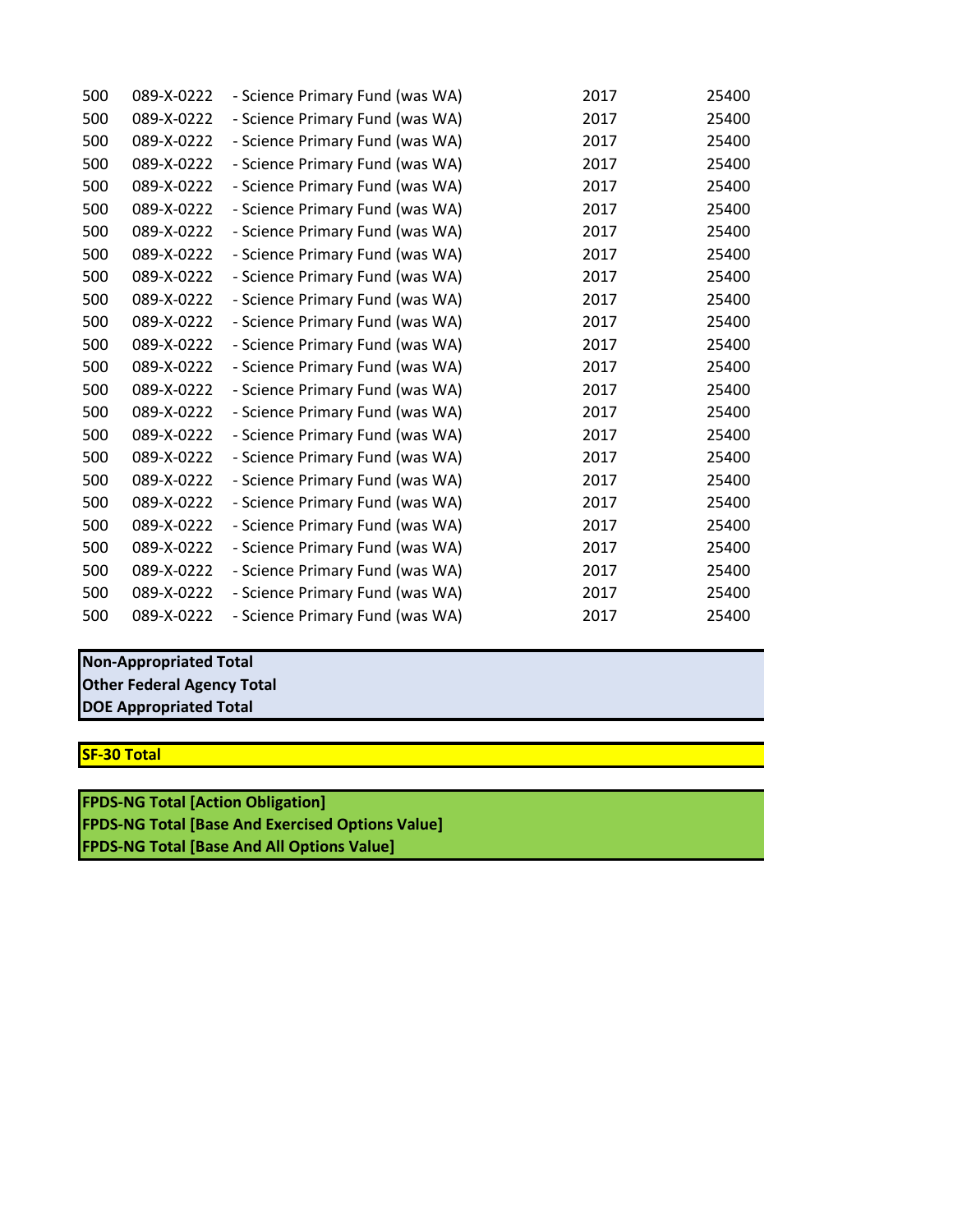| 500 | 089-X-0222 | - Science Primary Fund (was WA) | 2017 | 25400 |
|-----|------------|---------------------------------|------|-------|
| 500 | 089-X-0222 | - Science Primary Fund (was WA) | 2017 | 25400 |
| 500 | 089-X-0222 | - Science Primary Fund (was WA) | 2017 | 25400 |
| 500 | 089-X-0222 | - Science Primary Fund (was WA) | 2017 | 25400 |
| 500 | 089-X-0222 | - Science Primary Fund (was WA) | 2017 | 25400 |
| 500 | 089-X-0222 | - Science Primary Fund (was WA) | 2017 | 25400 |
| 500 | 089-X-0222 | - Science Primary Fund (was WA) | 2017 | 25400 |
| 500 | 089-X-0222 | - Science Primary Fund (was WA) | 2017 | 25400 |
| 500 | 089-X-0222 | - Science Primary Fund (was WA) | 2017 | 25400 |
| 500 | 089-X-0222 | - Science Primary Fund (was WA) | 2017 | 25400 |
| 500 | 089-X-0222 | - Science Primary Fund (was WA) | 2017 | 25400 |
| 500 | 089-X-0222 | - Science Primary Fund (was WA) | 2017 | 25400 |
| 500 | 089-X-0222 | - Science Primary Fund (was WA) | 2017 | 25400 |
| 500 | 089-X-0222 | - Science Primary Fund (was WA) | 2017 | 25400 |
| 500 | 089-X-0222 | - Science Primary Fund (was WA) | 2017 | 25400 |
| 500 | 089-X-0222 | - Science Primary Fund (was WA) | 2017 | 25400 |
| 500 | 089-X-0222 | - Science Primary Fund (was WA) | 2017 | 25400 |
| 500 | 089-X-0222 | - Science Primary Fund (was WA) | 2017 | 25400 |
| 500 | 089-X-0222 | - Science Primary Fund (was WA) | 2017 | 25400 |
| 500 | 089-X-0222 | - Science Primary Fund (was WA) | 2017 | 25400 |
| 500 | 089-X-0222 | - Science Primary Fund (was WA) | 2017 | 25400 |
| 500 | 089-X-0222 | - Science Primary Fund (was WA) | 2017 | 25400 |
| 500 | 089-X-0222 | - Science Primary Fund (was WA) | 2017 | 25400 |
| 500 | 089-X-0222 | - Science Primary Fund (was WA) | 2017 | 25400 |

## **DOE Appropriated Total Non-Appropriated Total Other Federal Agency Total**

**SF-30 Total**

**FPDS-NG Total [Base And All Options Value] FPDS-NG Total [Base And Exercised Options Value] FPDS-NG Total [Action Obligation]**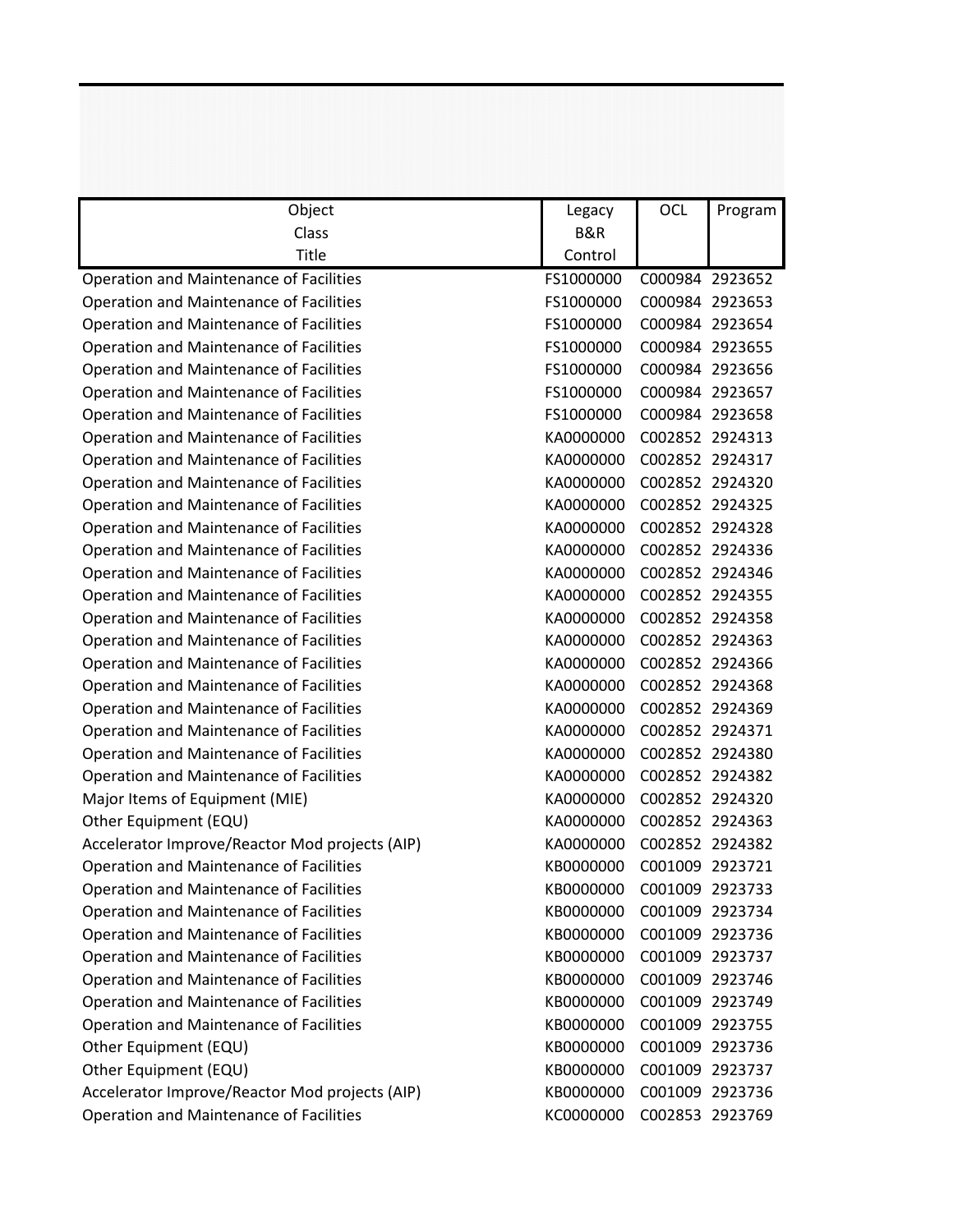| Object                                         | Legacy         | <b>OCL</b>      | Program         |
|------------------------------------------------|----------------|-----------------|-----------------|
| Class                                          | <b>B&amp;R</b> |                 |                 |
| Title                                          | Control        |                 |                 |
| <b>Operation and Maintenance of Facilities</b> | FS1000000      | C000984 2923652 |                 |
| <b>Operation and Maintenance of Facilities</b> | FS1000000      | C000984 2923653 |                 |
| <b>Operation and Maintenance of Facilities</b> | FS1000000      |                 | C000984 2923654 |
| <b>Operation and Maintenance of Facilities</b> | FS1000000      | C000984 2923655 |                 |
| Operation and Maintenance of Facilities        | FS1000000      |                 | C000984 2923656 |
| Operation and Maintenance of Facilities        | FS1000000      | C000984 2923657 |                 |
| <b>Operation and Maintenance of Facilities</b> | FS1000000      |                 | C000984 2923658 |
| <b>Operation and Maintenance of Facilities</b> | KA0000000      | C002852 2924313 |                 |
| <b>Operation and Maintenance of Facilities</b> | KA0000000      |                 | C002852 2924317 |
| <b>Operation and Maintenance of Facilities</b> | KA0000000      | C002852 2924320 |                 |
| <b>Operation and Maintenance of Facilities</b> | KA0000000      | C002852 2924325 |                 |
| Operation and Maintenance of Facilities        | KA0000000      | C002852 2924328 |                 |
| <b>Operation and Maintenance of Facilities</b> | KA0000000      | C002852 2924336 |                 |
| <b>Operation and Maintenance of Facilities</b> | KA0000000      | C002852 2924346 |                 |
| <b>Operation and Maintenance of Facilities</b> | KA0000000      | C002852 2924355 |                 |
| <b>Operation and Maintenance of Facilities</b> | KA0000000      | C002852 2924358 |                 |
| <b>Operation and Maintenance of Facilities</b> | KA0000000      | C002852 2924363 |                 |
| <b>Operation and Maintenance of Facilities</b> | KA0000000      |                 | C002852 2924366 |
| <b>Operation and Maintenance of Facilities</b> | KA0000000      | C002852 2924368 |                 |
| <b>Operation and Maintenance of Facilities</b> | KA0000000      | C002852 2924369 |                 |
| <b>Operation and Maintenance of Facilities</b> | KA0000000      | C002852 2924371 |                 |
| <b>Operation and Maintenance of Facilities</b> | KA0000000      |                 | C002852 2924380 |
| <b>Operation and Maintenance of Facilities</b> | KA0000000      | C002852 2924382 |                 |
| Major Items of Equipment (MIE)                 | KA0000000      |                 | C002852 2924320 |
| Other Equipment (EQU)                          | KA0000000      | C002852 2924363 |                 |
| Accelerator Improve/Reactor Mod projects (AIP) | KA0000000      | C002852 2924382 |                 |
| Operation and Maintenance of Facilities        | KB0000000      | C001009 2923721 |                 |
| <b>Operation and Maintenance of Facilities</b> | KB0000000      | C001009 2923733 |                 |
| <b>Operation and Maintenance of Facilities</b> | KB0000000      | C001009 2923734 |                 |
| <b>Operation and Maintenance of Facilities</b> | KB0000000      |                 | C001009 2923736 |
| <b>Operation and Maintenance of Facilities</b> | KB0000000      |                 | C001009 2923737 |
| <b>Operation and Maintenance of Facilities</b> | KB0000000      | C001009 2923746 |                 |
| <b>Operation and Maintenance of Facilities</b> | KB0000000      |                 | C001009 2923749 |
| <b>Operation and Maintenance of Facilities</b> | KB0000000      | C001009 2923755 |                 |
| Other Equipment (EQU)                          | KB0000000      |                 | C001009 2923736 |
| Other Equipment (EQU)                          | KB0000000      |                 | C001009 2923737 |
| Accelerator Improve/Reactor Mod projects (AIP) | KB0000000      |                 | C001009 2923736 |
| <b>Operation and Maintenance of Facilities</b> | KC0000000      |                 | C002853 2923769 |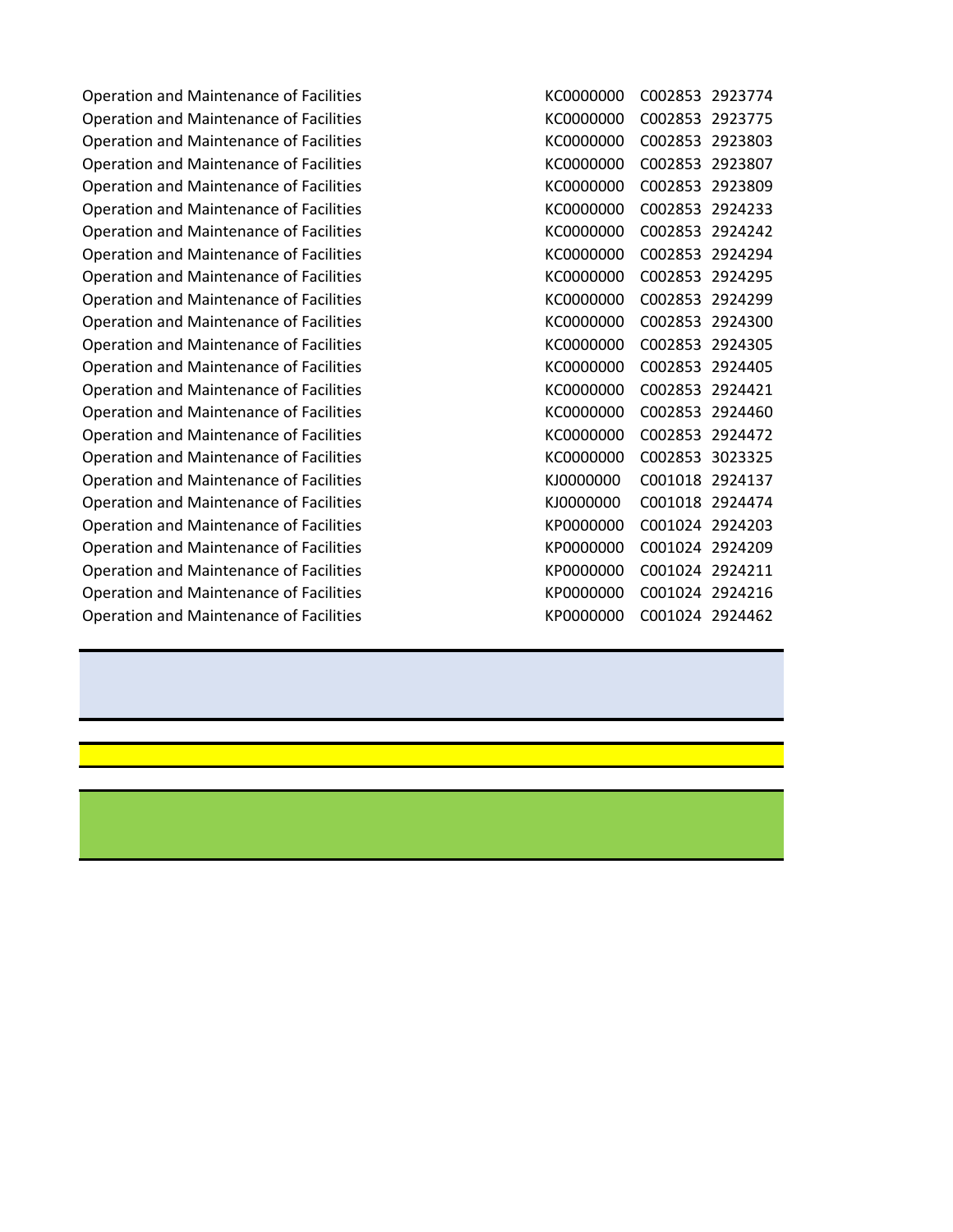Operation and Maintenance of Facilities Operation and Maintenance of Facilities Operation and Maintenance of Facilities Operation and Maintenance of Facilities Operation and Maintenance of Facilities Operation and Maintenance of Facilities Operation and Maintenance of Facilities Operation and Maintenance of Facilities Operation and Maintenance of Facilities Operation and Maintenance of Facilities Operation and Maintenance of Facilities Operation and Maintenance of Facilities Operation and Maintenance of Facilities Operation and Maintenance of Facilities Operation and Maintenance of Facilities Operation and Maintenance of Facilities Operation and Maintenance of Facilities Operation and Maintenance of Facilities Operation and Maintenance of Facilities Operation and Maintenance of Facilities Operation and Maintenance of Facilities Operation and Maintenance of Facilities Operation and Maintenance of Facilities Operation and Maintenance of Facilities

| KC0000000 | C002853 | 2923774 |
|-----------|---------|---------|
| KC0000000 | C002853 | 2923775 |
| KC0000000 | C002853 | 2923803 |
| KC0000000 | C002853 | 2923807 |
| KC0000000 | C002853 | 2923809 |
| KC0000000 | C002853 | 2924233 |
| KC0000000 | C002853 | 2924242 |
| KC0000000 | C002853 | 2924294 |
| KC0000000 | C002853 | 2924295 |
| KC0000000 | C002853 | 2924299 |
| KC0000000 | C002853 | 2924300 |
| KC0000000 | C002853 | 2924305 |
| KC0000000 | C002853 | 2924405 |
| KC0000000 | C002853 | 2924421 |
| KC0000000 | C002853 | 2924460 |
| KC0000000 | C002853 | 2924472 |
| KC0000000 | C002853 | 3023325 |
| KJOOOOOOO | C001018 | 2924137 |
| KJOOOOOOO | C001018 | 2924474 |
| KP0000000 | C001024 | 2924203 |
| KP0000000 | C001024 | 2924209 |
| KP0000000 | C001024 | 2924211 |
| KP0000000 | C001024 | 2924216 |
| KP0000000 | C001024 | 2924462 |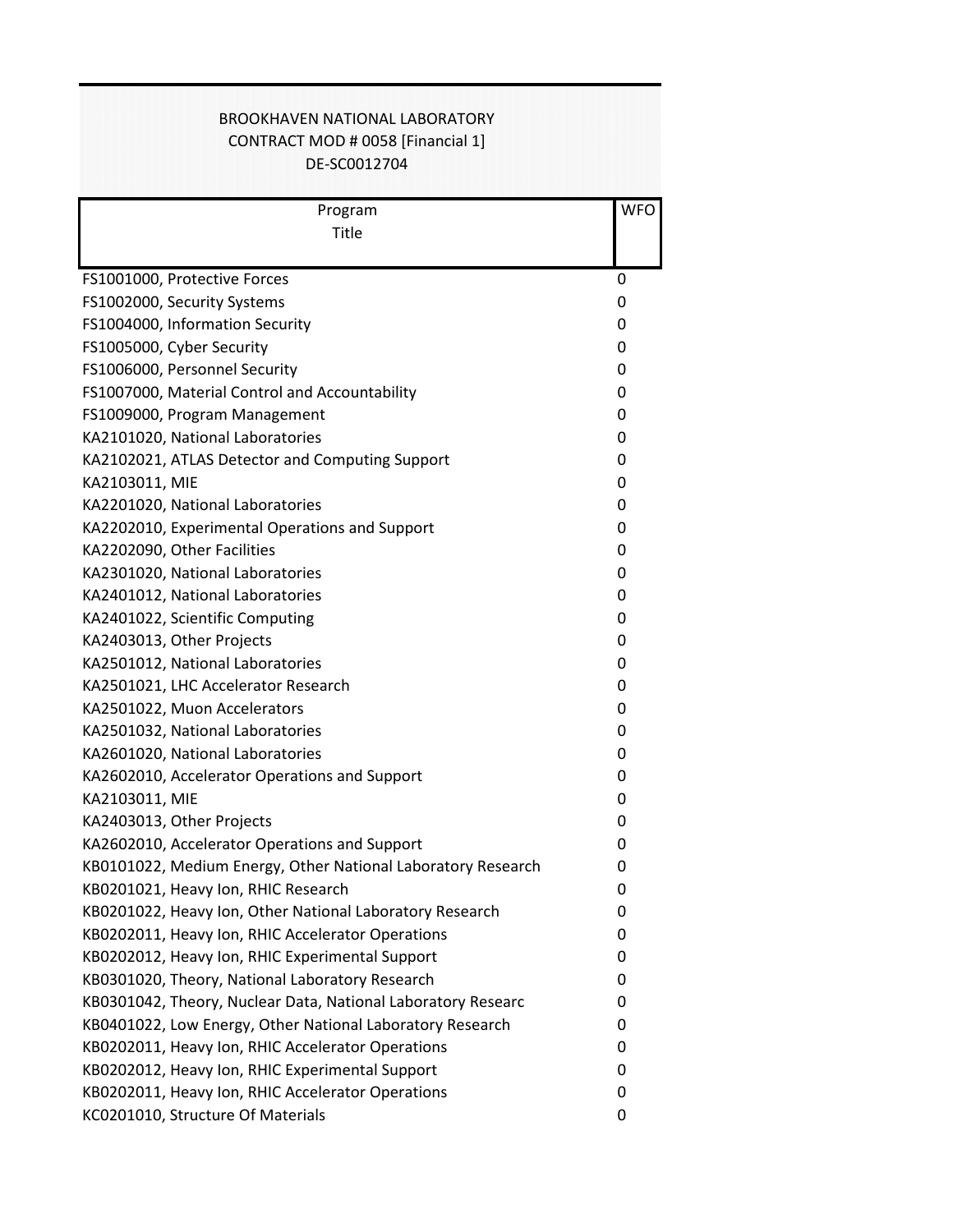## DE-SC0012704 CONTRACT MOD # 0058 [Financial 1] BROOKHAVEN NATIONAL LABORATORY

| Program                                                      | <b>WFO</b> |
|--------------------------------------------------------------|------------|
| Title                                                        |            |
|                                                              |            |
| FS1001000, Protective Forces                                 | 0          |
| FS1002000, Security Systems                                  | 0          |
| FS1004000, Information Security                              | 0          |
| FS1005000, Cyber Security                                    | 0          |
| FS1006000, Personnel Security                                | 0          |
| FS1007000, Material Control and Accountability               | 0          |
| FS1009000, Program Management                                | 0          |
| KA2101020, National Laboratories                             | 0          |
| KA2102021, ATLAS Detector and Computing Support              | 0          |
| KA2103011, MIE                                               | 0          |
| KA2201020, National Laboratories                             | 0          |
| KA2202010, Experimental Operations and Support               | 0          |
| KA2202090, Other Facilities                                  | 0          |
| KA2301020, National Laboratories                             | 0          |
| KA2401012, National Laboratories                             | 0          |
| KA2401022, Scientific Computing                              | 0          |
| KA2403013, Other Projects                                    | 0          |
| KA2501012, National Laboratories                             | 0          |
| KA2501021, LHC Accelerator Research                          | 0          |
| KA2501022, Muon Accelerators                                 | 0          |
| KA2501032, National Laboratories                             | 0          |
| KA2601020, National Laboratories                             | 0          |
| KA2602010, Accelerator Operations and Support                | 0          |
| KA2103011, MIE                                               | 0          |
| KA2403013, Other Projects                                    | 0          |
| KA2602010, Accelerator Operations and Support                | 0          |
| KB0101022, Medium Energy, Other National Laboratory Research | 0          |
| KB0201021, Heavy Ion, RHIC Research                          | 0          |
| KB0201022, Heavy Ion, Other National Laboratory Research     | 0          |
| KB0202011, Heavy Ion, RHIC Accelerator Operations            | 0          |
| KB0202012, Heavy Ion, RHIC Experimental Support              | 0          |
| KB0301020, Theory, National Laboratory Research              | 0          |
| KB0301042, Theory, Nuclear Data, National Laboratory Researc | 0          |
| KB0401022, Low Energy, Other National Laboratory Research    | 0          |
| KB0202011, Heavy Ion, RHIC Accelerator Operations            | 0          |
| KB0202012, Heavy Ion, RHIC Experimental Support              | 0          |
| KB0202011, Heavy Ion, RHIC Accelerator Operations            | 0          |
| KC0201010, Structure Of Materials                            | 0          |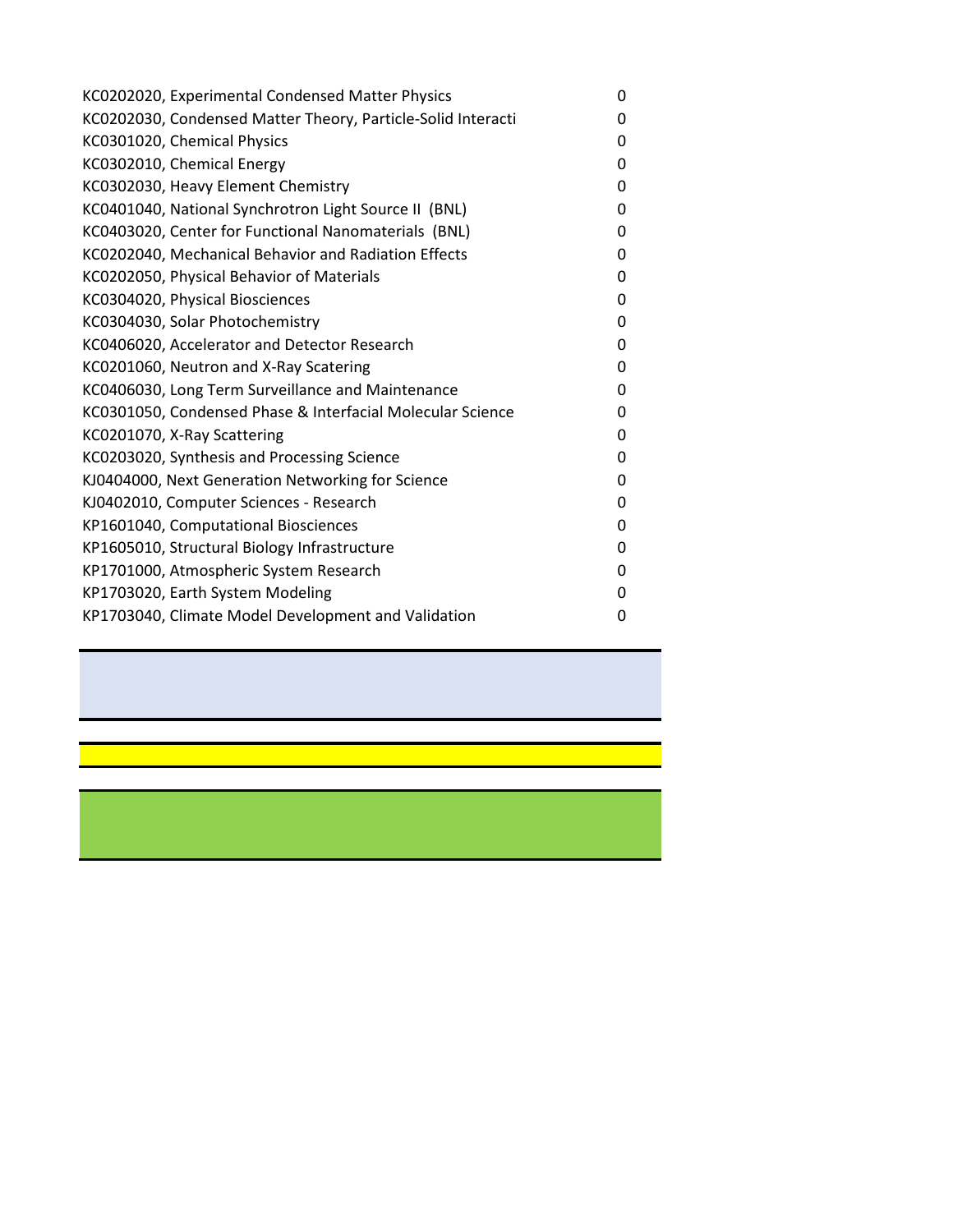| KC0202020, Experimental Condensed Matter Physics             | 0 |
|--------------------------------------------------------------|---|
| KC0202030, Condensed Matter Theory, Particle-Solid Interacti | 0 |
| KC0301020, Chemical Physics                                  | 0 |
| KC0302010, Chemical Energy                                   | 0 |
| KC0302030, Heavy Element Chemistry                           | 0 |
| KC0401040, National Synchrotron Light Source II (BNL)        | 0 |
| KC0403020, Center for Functional Nanomaterials (BNL)         | 0 |
| KC0202040, Mechanical Behavior and Radiation Effects         | 0 |
| KC0202050, Physical Behavior of Materials                    | 0 |
| KC0304020, Physical Biosciences                              | 0 |
| KC0304030, Solar Photochemistry                              | 0 |
| KC0406020, Accelerator and Detector Research                 | 0 |
| KC0201060, Neutron and X-Ray Scatering                       | 0 |
| KC0406030, Long Term Surveillance and Maintenance            | 0 |
| KC0301050, Condensed Phase & Interfacial Molecular Science   | 0 |
| KC0201070, X-Ray Scattering                                  | 0 |
| KC0203020, Synthesis and Processing Science                  | 0 |
| KJ0404000, Next Generation Networking for Science            | 0 |
| KJ0402010, Computer Sciences - Research                      | 0 |
| KP1601040, Computational Biosciences                         | 0 |
| KP1605010, Structural Biology Infrastructure                 | 0 |
| KP1701000, Atmospheric System Research                       | 0 |
| KP1703020, Earth System Modeling                             | 0 |
| KP1703040, Climate Model Development and Validation          | 0 |
|                                                              |   |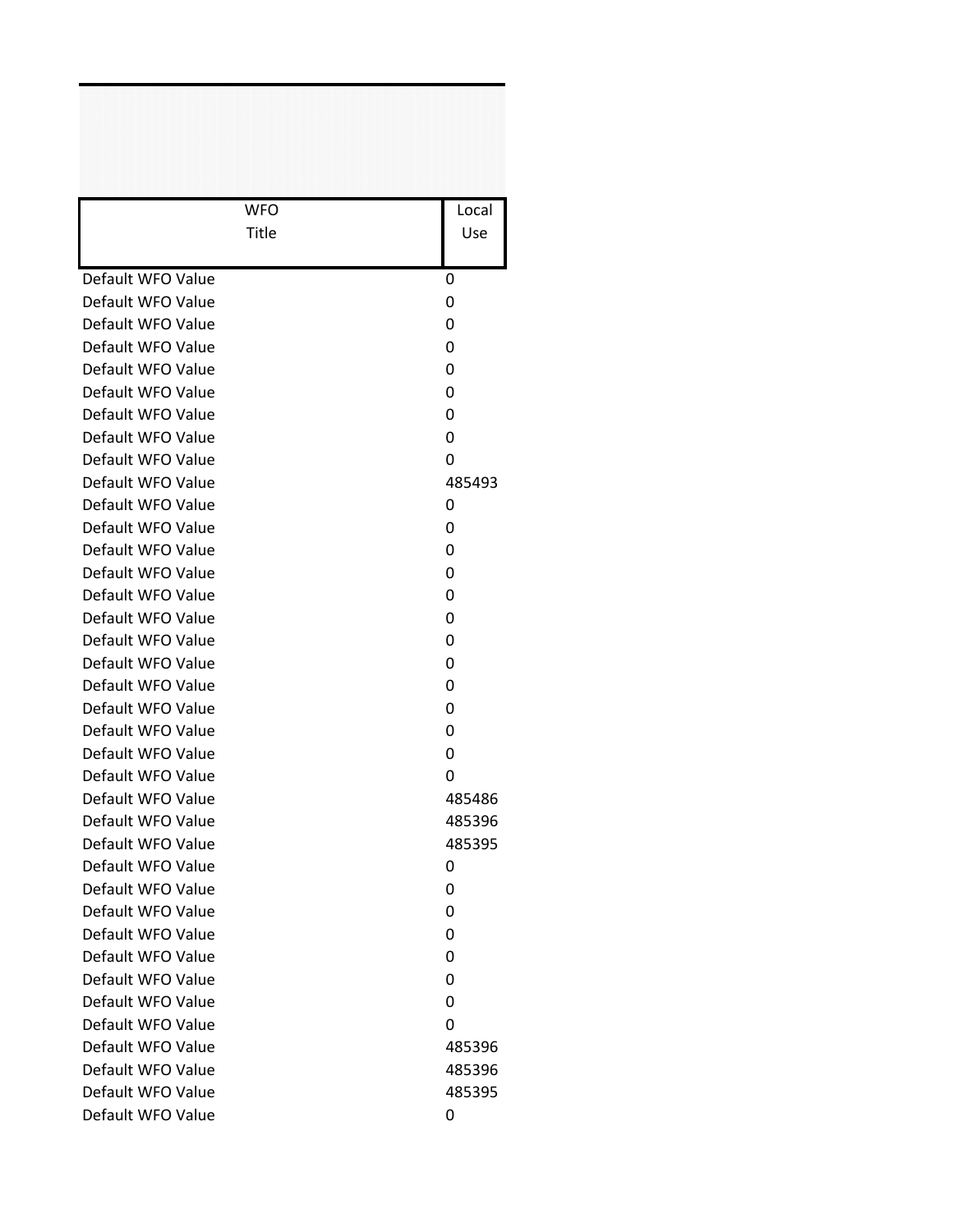| <b>WFO</b>        | Local  |
|-------------------|--------|
| <b>Title</b>      | Use    |
|                   |        |
| Default WFO Value | 0      |
| Default WFO Value | 0      |
| Default WFO Value | 0      |
| Default WFO Value | 0      |
| Default WFO Value | 0      |
| Default WFO Value | 0      |
| Default WFO Value | 0      |
| Default WFO Value | 0      |
| Default WFO Value | 0      |
| Default WFO Value | 485493 |
| Default WFO Value | 0      |
| Default WFO Value | 0      |
| Default WFO Value | 0      |
| Default WFO Value | 0      |
| Default WFO Value | 0      |
| Default WFO Value | 0      |
| Default WFO Value | 0      |
| Default WFO Value | 0      |
| Default WFO Value | 0      |
| Default WFO Value | 0      |
| Default WFO Value | 0      |
| Default WFO Value | 0      |
| Default WFO Value | 0      |
| Default WFO Value | 485486 |
| Default WFO Value | 485396 |
| Default WFO Value | 485395 |
| Default WFO Value | 0      |
| Default WFO Value | 0      |
| Default WFO Value | 0      |
| Default WFO Value | 0      |
| Default WFO Value | 0      |
| Default WFO Value | 0      |
| Default WFO Value | 0      |
| Default WFO Value | 0      |
| Default WFO Value | 485396 |
| Default WFO Value | 485396 |
| Default WFO Value | 485395 |
| Default WFO Value | 0      |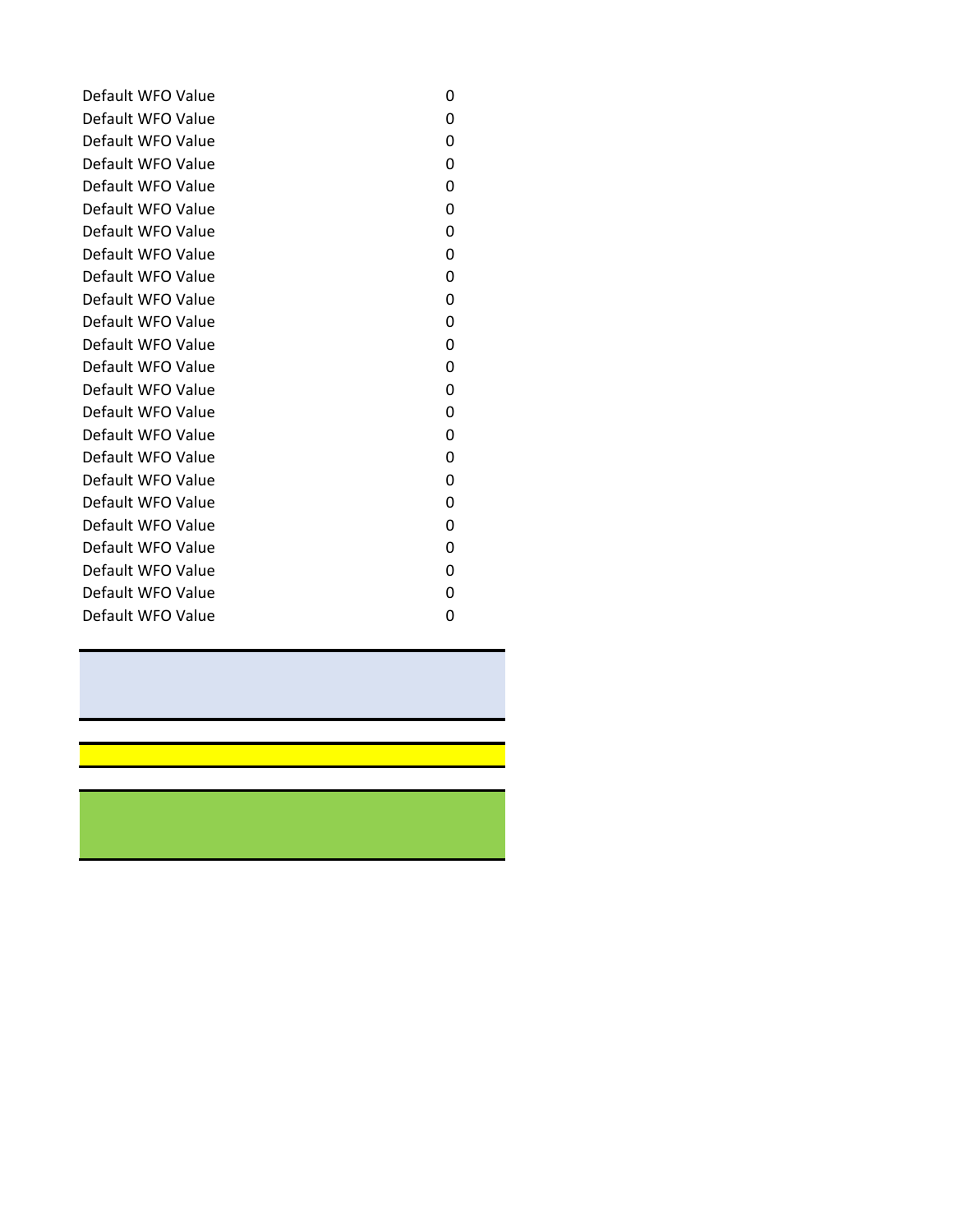| Default WFO Value | 0 |
|-------------------|---|
| Default WFO Value | 0 |
| Default WFO Value | 0 |
| Default WFO Value | 0 |
| Default WFO Value | 0 |
| Default WFO Value | 0 |
| Default WFO Value | 0 |
| Default WFO Value | 0 |
| Default WFO Value | 0 |
| Default WFO Value | 0 |
| Default WFO Value | 0 |
| Default WFO Value | 0 |
| Default WFO Value | 0 |
| Default WFO Value | 0 |
| Default WFO Value | 0 |
| Default WFO Value | 0 |
| Default WFO Value | 0 |
| Default WFO Value | 0 |
| Default WFO Value | 0 |
| Default WFO Value | 0 |
| Default WFO Value | 0 |
| Default WFO Value | 0 |
| Default WFO Value | 0 |
| Default WFO Value | 0 |
|                   |   |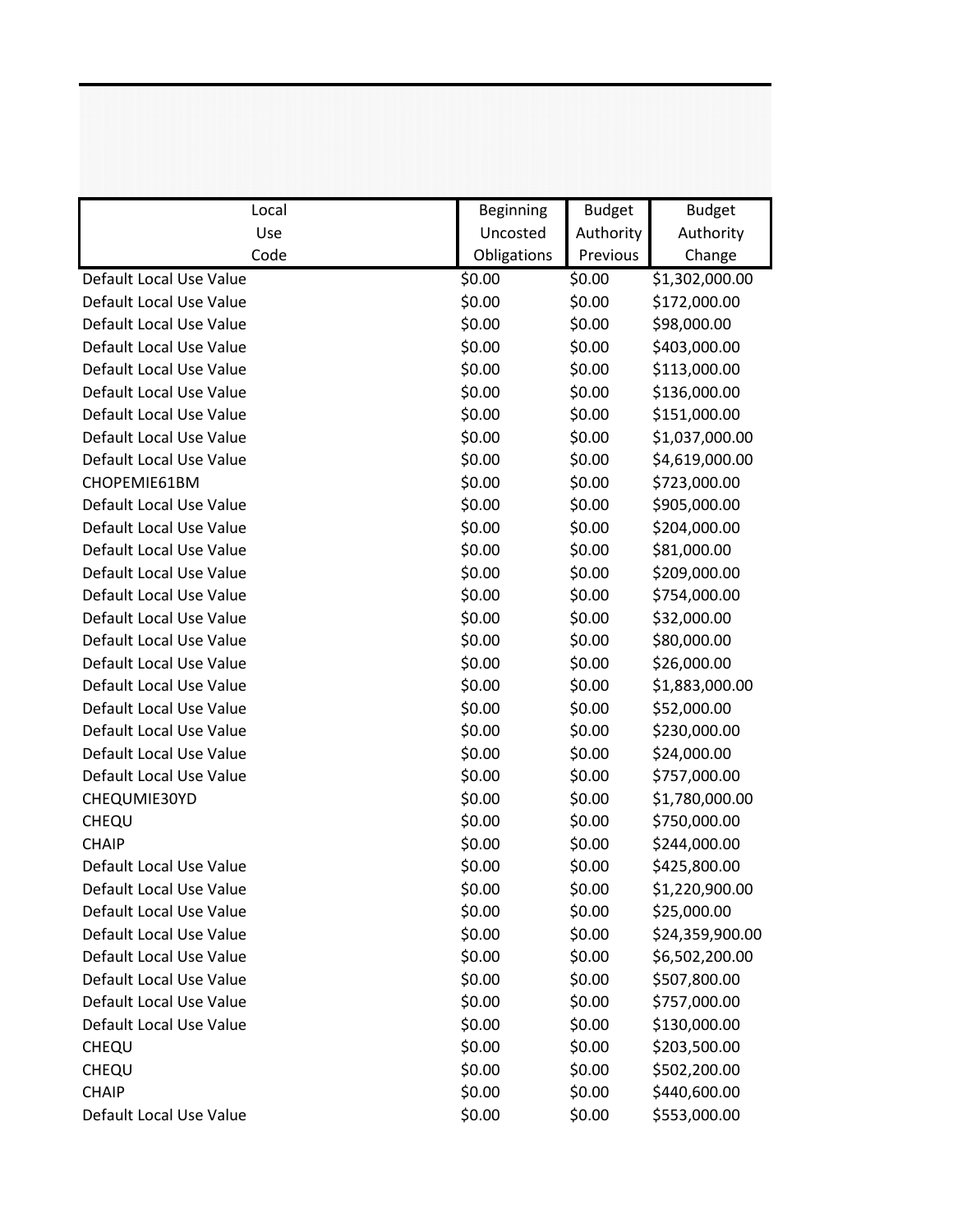| Local                   | Beginning   | <b>Budget</b> | <b>Budget</b>   |
|-------------------------|-------------|---------------|-----------------|
| Use                     | Uncosted    | Authority     | Authority       |
| Code                    | Obligations | Previous      | Change          |
| Default Local Use Value | \$0.00      | \$0.00        | \$1,302,000.00  |
| Default Local Use Value | \$0.00      | \$0.00        | \$172,000.00    |
| Default Local Use Value | \$0.00      | \$0.00        | \$98,000.00     |
| Default Local Use Value | \$0.00      | \$0.00        | \$403,000.00    |
| Default Local Use Value | \$0.00      | \$0.00        | \$113,000.00    |
| Default Local Use Value | \$0.00      | \$0.00        | \$136,000.00    |
| Default Local Use Value | \$0.00      | \$0.00        | \$151,000.00    |
| Default Local Use Value | \$0.00      | \$0.00        | \$1,037,000.00  |
| Default Local Use Value | \$0.00      | \$0.00        | \$4,619,000.00  |
| CHOPEMIE61BM            | \$0.00      | \$0.00        | \$723,000.00    |
| Default Local Use Value | \$0.00      | \$0.00        | \$905,000.00    |
| Default Local Use Value | \$0.00      | \$0.00        | \$204,000.00    |
| Default Local Use Value | \$0.00      | \$0.00        | \$81,000.00     |
| Default Local Use Value | \$0.00      | \$0.00        | \$209,000.00    |
| Default Local Use Value | \$0.00      | \$0.00        | \$754,000.00    |
| Default Local Use Value | \$0.00      | \$0.00        | \$32,000.00     |
| Default Local Use Value | \$0.00      | \$0.00        | \$80,000.00     |
| Default Local Use Value | \$0.00      | \$0.00        | \$26,000.00     |
| Default Local Use Value | \$0.00      | \$0.00        | \$1,883,000.00  |
| Default Local Use Value | \$0.00      | \$0.00        | \$52,000.00     |
| Default Local Use Value | \$0.00      | \$0.00        | \$230,000.00    |
| Default Local Use Value | \$0.00      | \$0.00        | \$24,000.00     |
| Default Local Use Value | \$0.00      | \$0.00        | \$757,000.00    |
| CHEQUMIE30YD            | \$0.00      | \$0.00        | \$1,780,000.00  |
| CHEQU                   | \$0.00      | \$0.00        | \$750,000.00    |
| <b>CHAIP</b>            | \$0.00      | \$0.00        | \$244,000.00    |
| Default Local Use Value | \$0.00      | \$0.00        | \$425,800.00    |
| Default Local Use Value | \$0.00      | \$0.00        | \$1,220,900.00  |
| Default Local Use Value | \$0.00      | \$0.00        | \$25,000.00     |
| Default Local Use Value | \$0.00      | \$0.00        | \$24,359,900.00 |
| Default Local Use Value | \$0.00      | \$0.00        | \$6,502,200.00  |
| Default Local Use Value | \$0.00      | \$0.00        | \$507,800.00    |
| Default Local Use Value | \$0.00      | \$0.00        | \$757,000.00    |
| Default Local Use Value | \$0.00      | \$0.00        | \$130,000.00    |
| <b>CHEQU</b>            | \$0.00      | \$0.00        | \$203,500.00    |
| CHEQU                   | \$0.00      | \$0.00        | \$502,200.00    |
| <b>CHAIP</b>            | \$0.00      | \$0.00        | \$440,600.00    |
| Default Local Use Value | \$0.00      | \$0.00        | \$553,000.00    |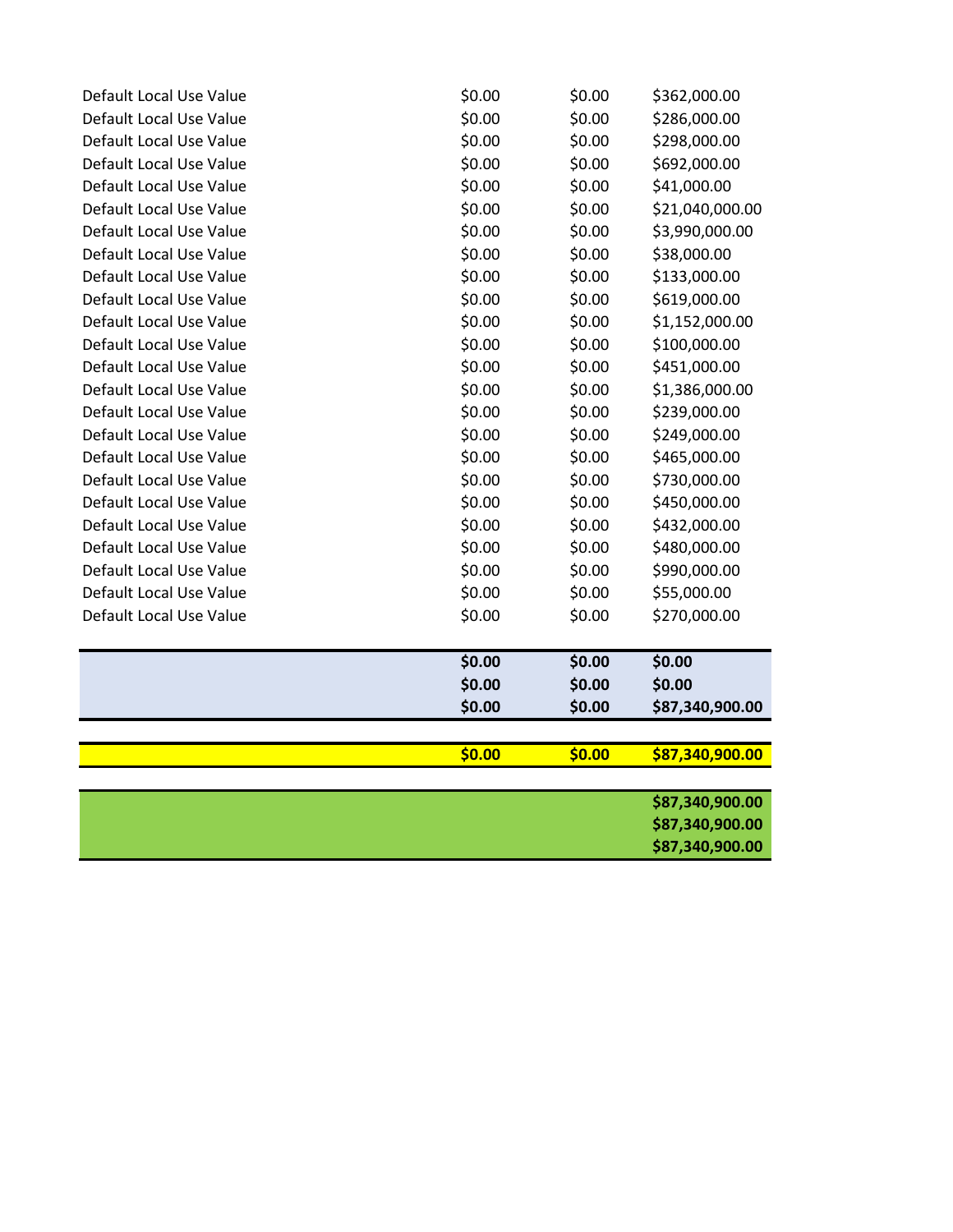| Default Local Use Value | \$0.00 | \$0.00 | \$362,000.00    |
|-------------------------|--------|--------|-----------------|
| Default Local Use Value | \$0.00 | \$0.00 | \$286,000.00    |
| Default Local Use Value | \$0.00 | \$0.00 | \$298,000.00    |
| Default Local Use Value | \$0.00 | \$0.00 | \$692,000.00    |
| Default Local Use Value | \$0.00 | \$0.00 | \$41,000.00     |
| Default Local Use Value | \$0.00 | \$0.00 | \$21,040,000.00 |
| Default Local Use Value | \$0.00 | \$0.00 | \$3,990,000.00  |
| Default Local Use Value | \$0.00 | \$0.00 | \$38,000.00     |
| Default Local Use Value | \$0.00 | \$0.00 | \$133,000.00    |
| Default Local Use Value | \$0.00 | \$0.00 | \$619,000.00    |
| Default Local Use Value | \$0.00 | \$0.00 | \$1,152,000.00  |
| Default Local Use Value | \$0.00 | \$0.00 | \$100,000.00    |
| Default Local Use Value | \$0.00 | \$0.00 | \$451,000.00    |
| Default Local Use Value | \$0.00 | \$0.00 | \$1,386,000.00  |
| Default Local Use Value | \$0.00 | \$0.00 | \$239,000.00    |
| Default Local Use Value | \$0.00 | \$0.00 | \$249,000.00    |
| Default Local Use Value | \$0.00 | \$0.00 | \$465,000.00    |
| Default Local Use Value | \$0.00 | \$0.00 | \$730,000.00    |
| Default Local Use Value | \$0.00 | \$0.00 | \$450,000.00    |
| Default Local Use Value | \$0.00 | \$0.00 | \$432,000.00    |
| Default Local Use Value | \$0.00 | \$0.00 | \$480,000.00    |
| Default Local Use Value | \$0.00 | \$0.00 | \$990,000.00    |
| Default Local Use Value | \$0.00 | \$0.00 | \$55,000.00     |
| Default Local Use Value | \$0.00 | \$0.00 | \$270,000.00    |
|                         |        |        |                 |
|                         | \$0.00 | \$0.00 | \$0.00          |
|                         | \$0.00 | \$0.00 | \$0.00          |
|                         | \$0.00 | \$0.00 | \$87,340,900.00 |
|                         |        |        |                 |
|                         | \$0.00 | \$0.00 | \$87,340,900.00 |
|                         |        |        | \$87,340,900.00 |
|                         |        |        | \$87,340,900.00 |
|                         |        |        | \$87,340,900.00 |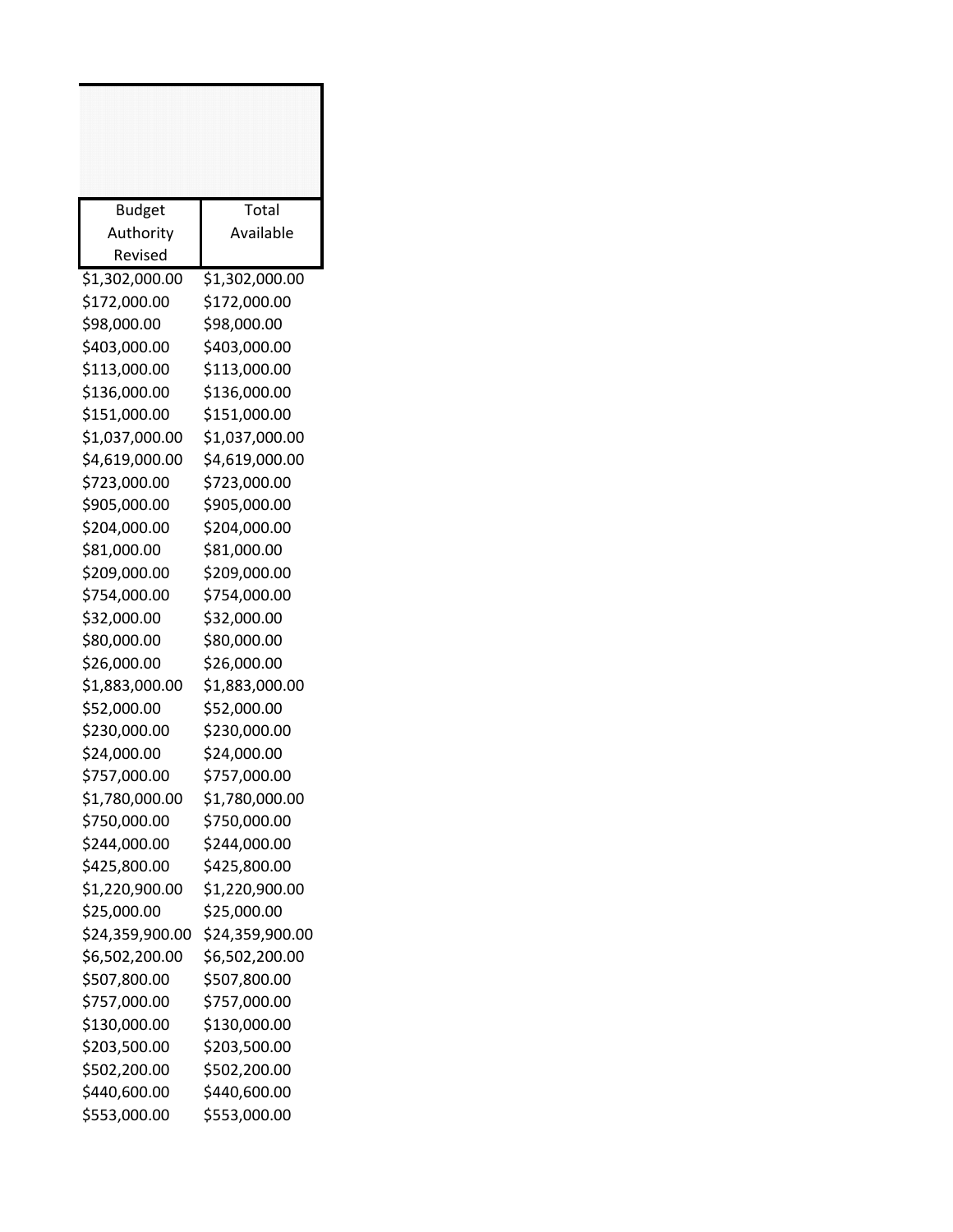| <b>Budget</b><br>Authority | Total<br>Available |
|----------------------------|--------------------|
| Revised                    |                    |
| \$1,302,000.00             | \$1,302,000.00     |
| \$172,000.00               | \$172,000.00       |
| \$98,000.00                | \$98,000.00        |
| \$403,000.00               | \$403,000.00       |
| \$113,000.00               | \$113,000.00       |
| \$136,000.00               | \$136,000.00       |
| \$151,000.00               | \$151,000.00       |
| \$1,037,000.00             | \$1,037,000.00     |
| \$4,619,000.00             | \$4,619,000.00     |
| \$723,000.00               | \$723,000.00       |
| \$905,000.00               | \$905,000.00       |
| \$204,000.00               | \$204,000.00       |
| \$81,000.00                | \$81,000.00        |
| \$209,000.00               | \$209,000.00       |
| \$754,000.00               | \$754,000.00       |
| \$32,000.00                | \$32,000.00        |
| \$80,000.00                | \$80,000.00        |
| \$26,000.00                | \$26,000.00        |
| \$1,883,000.00             | \$1,883,000.00     |
| \$52,000.00                | \$52,000.00        |
| \$230,000.00               | \$230,000.00       |
| \$24,000.00                | \$24,000.00        |
| \$757,000.00               | \$757,000.00       |
| \$1,780,000.00             | \$1,780,000.00     |
| \$750,000.00               | \$750,000.00       |
| \$244,000.00               | \$244,000.00       |
| \$425,800.00               | \$425,800.00       |
| \$1,220,900.00             | \$1,220,900.00     |
| \$25,000.00                | \$25,000.00        |
| \$24,359,900.00            | \$24,359,900.00    |
| \$6,502,200.00             | \$6,502,200.00     |
| \$507,800.00               | \$507,800.00       |
| \$757,000.00               | \$757,000.00       |
| \$130,000.00               | \$130,000.00       |
| \$203,500.00               | \$203,500.00       |
| \$502,200.00               | \$502,200.00       |
| \$440,600.00               | \$440,600.00       |
| \$553,000.00               | \$553,000.00       |